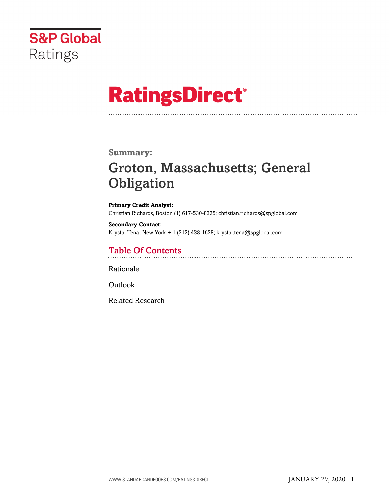

# **RatingsDirect®**

### **Summary:**

# Groton, Massachusetts; General **Obligation**

**Primary Credit Analyst:** Christian Richards, Boston (1) 617-530-8325; christian.richards@spglobal.com

**Secondary Contact:** Krystal Tena, New York + 1 (212) 438-1628; krystal.tena@spglobal.com

# Table Of Contents

[Rationale](#page-1-0)

[Outlook](#page-5-0)

[Related Research](#page-6-0)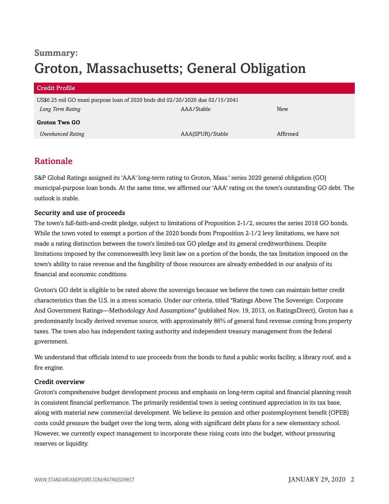# **Summary:** Groton, Massachusetts; General Obligation

| <b>Credit Profile</b>                                                        |                  |          |  |
|------------------------------------------------------------------------------|------------------|----------|--|
| US\$6.25 mil GO muni purpose loan of 2020 bnds dtd 02/20/2020 due 02/15/2041 |                  |          |  |
| Long Term Rating                                                             | AAA/Stable       | New      |  |
| <b>Groton Twn GO</b>                                                         |                  |          |  |
| <b>Unenhanced Rating</b>                                                     | AAA(SPUR)/Stable | Affirmed |  |

## <span id="page-1-0"></span>Rationale

S&P Global Ratings assigned its 'AAA' long-term rating to Groton, Mass.' series 2020 general obligation (GO) municipal-purpose loan bonds. At the same time, we affirmed our 'AAA' rating on the town's outstanding GO debt. The outlook is stable.

#### Security and use of proceeds

The town's full-faith-and-credit pledge, subject to limitations of Proposition 2-1/2, secures the series 2018 GO bonds. While the town voted to exempt a portion of the 2020 bonds from Proposition 2-1/2 levy limitations, we have not made a rating distinction between the town's limited-tax GO pledge and its general creditworthiness. Despite limitations imposed by the commonwealth levy limit law on a portion of the bonds, the tax limitation imposed on the town's ability to raise revenue and the fungibility of those resources are already embedded in our analysis of its financial and economic conditions.

Groton's GO debt is eligible to be rated above the sovereign because we believe the town can maintain better credit characteristics than the U.S. in a stress scenario. Under our criteria, titled "Ratings Above The Sovereign: Corporate And Government Ratings—Methodology And Assumptions" (published Nov. 19, 2013, on RatingsDirect), Groton has a predominantly locally derived revenue source, with approximately 86% of general fund revenue coming from property taxes. The town also has independent taxing authority and independent treasury management from the federal government.

We understand that officials intend to use proceeds from the bonds to fund a public works facility, a library roof, and a fire engine.

#### Credit overview

Groton's comprehensive budget development process and emphasis on long-term capital and financial planning result in consistent financial performance. The primarily residential town is seeing continued appreciation in its tax base, along with material new commercial development. We believe its pension and other postemployment benefit (OPEB) costs could pressure the budget over the long term, along with significant debt plans for a new elementary school. However, we currently expect management to incorporate these rising costs into the budget, without pressuring reserves or liquidity.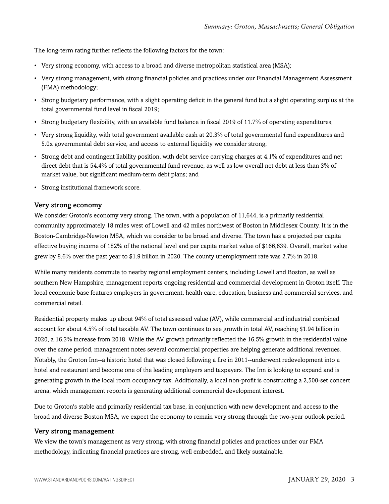The long-term rating further reflects the following factors for the town:

- Very strong economy, with access to a broad and diverse metropolitan statistical area (MSA);
- Very strong management, with strong financial policies and practices under our Financial Management Assessment (FMA) methodology;
- Strong budgetary performance, with a slight operating deficit in the general fund but a slight operating surplus at the total governmental fund level in fiscal 2019;
- Strong budgetary flexibility, with an available fund balance in fiscal 2019 of 11.7% of operating expenditures;
- Very strong liquidity, with total government available cash at 20.3% of total governmental fund expenditures and 5.0x governmental debt service, and access to external liquidity we consider strong;
- Strong debt and contingent liability position, with debt service carrying charges at 4.1% of expenditures and net direct debt that is 54.4% of total governmental fund revenue, as well as low overall net debt at less than 3% of market value, but significant medium-term debt plans; and
- Strong institutional framework score.

#### Very strong economy

We consider Groton's economy very strong. The town, with a population of 11,644, is a primarily residential community approximately 18 miles west of Lowell and 42 miles northwest of Boston in Middlesex County. It is in the Boston-Cambridge-Newton MSA, which we consider to be broad and diverse. The town has a projected per capita effective buying income of 182% of the national level and per capita market value of \$166,639. Overall, market value grew by 8.6% over the past year to \$1.9 billion in 2020. The county unemployment rate was 2.7% in 2018.

While many residents commute to nearby regional employment centers, including Lowell and Boston, as well as southern New Hampshire, management reports ongoing residential and commercial development in Groton itself. The local economic base features employers in government, health care, education, business and commercial services, and commercial retail.

Residential property makes up about 94% of total assessed value (AV), while commercial and industrial combined account for about 4.5% of total taxable AV. The town continues to see growth in total AV, reaching \$1.94 billion in 2020, a 16.3% increase from 2018. While the AV growth primarily reflected the 16.5% growth in the residential value over the same period, management notes several commercial properties are helping generate additional revenues. Notably, the Groton Inn--a historic hotel that was closed following a fire in 2011--underwent redevelopment into a hotel and restaurant and become one of the leading employers and taxpayers. The Inn is looking to expand and is generating growth in the local room occupancy tax. Additionally, a local non-profit is constructing a 2,500-set concert arena, which management reports is generating additional commercial development interest.

Due to Groton's stable and primarily residential tax base, in conjunction with new development and access to the broad and diverse Boston MSA, we expect the economy to remain very strong through the two-year outlook period.

#### Very strong management

We view the town's management as very strong, with strong financial policies and practices under our FMA methodology, indicating financial practices are strong, well embedded, and likely sustainable.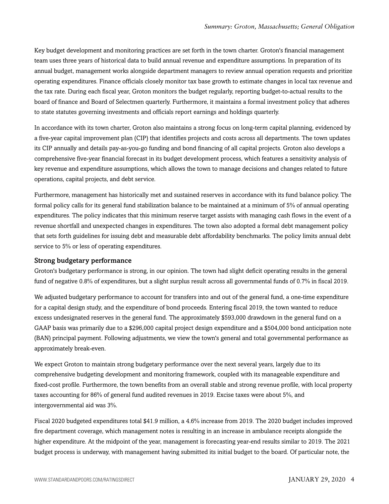Key budget development and monitoring practices are set forth in the town charter. Groton's financial management team uses three years of historical data to build annual revenue and expenditure assumptions. In preparation of its annual budget, management works alongside department managers to review annual operation requests and prioritize operating expenditures. Finance officials closely monitor tax base growth to estimate changes in local tax revenue and the tax rate. During each fiscal year, Groton monitors the budget regularly, reporting budget-to-actual results to the board of finance and Board of Selectmen quarterly. Furthermore, it maintains a formal investment policy that adheres to state statutes governing investments and officials report earnings and holdings quarterly.

In accordance with its town charter, Groton also maintains a strong focus on long-term capital planning, evidenced by a five-year capital improvement plan (CIP) that identifies projects and costs across all departments. The town updates its CIP annually and details pay-as-you-go funding and bond financing of all capital projects. Groton also develops a comprehensive five-year financial forecast in its budget development process, which features a sensitivity analysis of key revenue and expenditure assumptions, which allows the town to manage decisions and changes related to future operations, capital projects, and debt service.

Furthermore, management has historically met and sustained reserves in accordance with its fund balance policy. The formal policy calls for its general fund stabilization balance to be maintained at a minimum of 5% of annual operating expenditures. The policy indicates that this minimum reserve target assists with managing cash flows in the event of a revenue shortfall and unexpected changes in expenditures. The town also adopted a formal debt management policy that sets forth guidelines for issuing debt and measurable debt affordability benchmarks. The policy limits annual debt service to 5% or less of operating expenditures.

#### Strong budgetary performance

Groton's budgetary performance is strong, in our opinion. The town had slight deficit operating results in the general fund of negative 0.8% of expenditures, but a slight surplus result across all governmental funds of 0.7% in fiscal 2019.

We adjusted budgetary performance to account for transfers into and out of the general fund, a one-time expenditure for a capital design study, and the expenditure of bond proceeds. Entering fiscal 2019, the town wanted to reduce excess undesignated reserves in the general fund. The approximately \$593,000 drawdown in the general fund on a GAAP basis was primarily due to a \$296,000 capital project design expenditure and a \$504,000 bond anticipation note (BAN) principal payment. Following adjustments, we view the town's general and total governmental performance as approximately break-even.

We expect Groton to maintain strong budgetary performance over the next several years, largely due to its comprehensive budgeting development and monitoring framework, coupled with its manageable expenditure and fixed-cost profile. Furthermore, the town benefits from an overall stable and strong revenue profile, with local property taxes accounting for 86% of general fund audited revenues in 2019. Excise taxes were about 5%, and intergovernmental aid was 3%.

Fiscal 2020 budgeted expenditures total \$41.9 million, a 4.6% increase from 2019. The 2020 budget includes improved fire department coverage, which management notes is resulting in an increase in ambulance receipts alongside the higher expenditure. At the midpoint of the year, management is forecasting year-end results similar to 2019. The 2021 budget process is underway, with management having submitted its initial budget to the board. Of particular note, the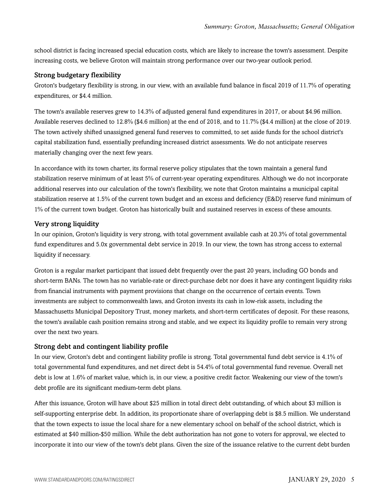school district is facing increased special education costs, which are likely to increase the town's assessment. Despite increasing costs, we believe Groton will maintain strong performance over our two-year outlook period.

#### Strong budgetary flexibility

Groton's budgetary flexibility is strong, in our view, with an available fund balance in fiscal 2019 of 11.7% of operating expenditures, or \$4.4 million.

The town's available reserves grew to 14.3% of adjusted general fund expenditures in 2017, or about \$4.96 million. Available reserves declined to 12.8% (\$4.6 million) at the end of 2018, and to 11.7% (\$4.4 million) at the close of 2019. The town actively shifted unassigned general fund reserves to committed, to set aside funds for the school district's capital stabilization fund, essentially prefunding increased district assessments. We do not anticipate reserves materially changing over the next few years.

In accordance with its town charter, its formal reserve policy stipulates that the town maintain a general fund stabilization reserve minimum of at least 5% of current-year operating expenditures. Although we do not incorporate additional reserves into our calculation of the town's flexibility, we note that Groton maintains a municipal capital stabilization reserve at 1.5% of the current town budget and an excess and deficiency (E&D) reserve fund minimum of 1% of the current town budget. Groton has historically built and sustained reserves in excess of these amounts.

#### Very strong liquidity

In our opinion, Groton's liquidity is very strong, with total government available cash at 20.3% of total governmental fund expenditures and 5.0x governmental debt service in 2019. In our view, the town has strong access to external liquidity if necessary.

Groton is a regular market participant that issued debt frequently over the past 20 years, including GO bonds and short-term BANs. The town has no variable-rate or direct-purchase debt nor does it have any contingent liquidity risks from financial instruments with payment provisions that change on the occurrence of certain events. Town investments are subject to commonwealth laws, and Groton invests its cash in low-risk assets, including the Massachusetts Municipal Depository Trust, money markets, and short-term certificates of deposit. For these reasons, the town's available cash position remains strong and stable, and we expect its liquidity profile to remain very strong over the next two years.

#### Strong debt and contingent liability profile

In our view, Groton's debt and contingent liability profile is strong. Total governmental fund debt service is 4.1% of total governmental fund expenditures, and net direct debt is 54.4% of total governmental fund revenue. Overall net debt is low at 1.6% of market value, which is, in our view, a positive credit factor. Weakening our view of the town's debt profile are its significant medium-term debt plans.

After this issuance, Groton will have about \$25 million in total direct debt outstanding, of which about \$3 million is self-supporting enterprise debt. In addition, its proportionate share of overlapping debt is \$8.5 million. We understand that the town expects to issue the local share for a new elementary school on behalf of the school district, which is estimated at \$40 million-\$50 million. While the debt authorization has not gone to voters for approval, we elected to incorporate it into our view of the town's debt plans. Given the size of the issuance relative to the current debt burden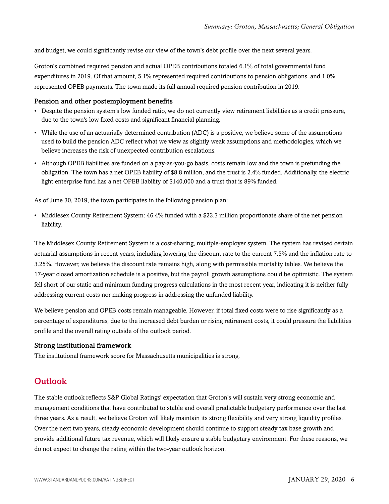and budget, we could significantly revise our view of the town's debt profile over the next several years.

Groton's combined required pension and actual OPEB contributions totaled 6.1% of total governmental fund expenditures in 2019. Of that amount, 5.1% represented required contributions to pension obligations, and 1.0% represented OPEB payments. The town made its full annual required pension contribution in 2019.

#### Pension and other postemployment benefits

- Despite the pension system's low funded ratio, we do not currently view retirement liabilities as a credit pressure, due to the town's low fixed costs and significant financial planning.
- While the use of an actuarially determined contribution (ADC) is a positive, we believe some of the assumptions used to build the pension ADC reflect what we view as slightly weak assumptions and methodologies, which we believe increases the risk of unexpected contribution escalations.
- Although OPEB liabilities are funded on a pay-as-you-go basis, costs remain low and the town is prefunding the obligation. The town has a net OPEB liability of \$8.8 million, and the trust is 2.4% funded. Additionally, the electric light enterprise fund has a net OPEB liability of \$140,000 and a trust that is 89% funded.

As of June 30, 2019, the town participates in the following pension plan:

• Middlesex County Retirement System: 46.4% funded with a \$23.3 million proportionate share of the net pension liability.

The Middlesex County Retirement System is a cost-sharing, multiple-employer system. The system has revised certain actuarial assumptions in recent years, including lowering the discount rate to the current 7.5% and the inflation rate to 3.25%. However, we believe the discount rate remains high, along with permissible mortality tables. We believe the 17-year closed amortization schedule is a positive, but the payroll growth assumptions could be optimistic. The system fell short of our static and minimum funding progress calculations in the most recent year, indicating it is neither fully addressing current costs nor making progress in addressing the unfunded liability.

We believe pension and OPEB costs remain manageable. However, if total fixed costs were to rise significantly as a percentage of expenditures, due to the increased debt burden or rising retirement costs, it could pressure the liabilities profile and the overall rating outside of the outlook period.

#### Strong institutional framework

<span id="page-5-0"></span>The institutional framework score for Massachusetts municipalities is strong.

## **Outlook**

The stable outlook reflects S&P Global Ratings' expectation that Groton's will sustain very strong economic and management conditions that have contributed to stable and overall predictable budgetary performance over the last three years. As a result, we believe Groton will likely maintain its strong flexibility and very strong liquidity profiles. Over the next two years, steady economic development should continue to support steady tax base growth and provide additional future tax revenue, which will likely ensure a stable budgetary environment. For these reasons, we do not expect to change the rating within the two-year outlook horizon.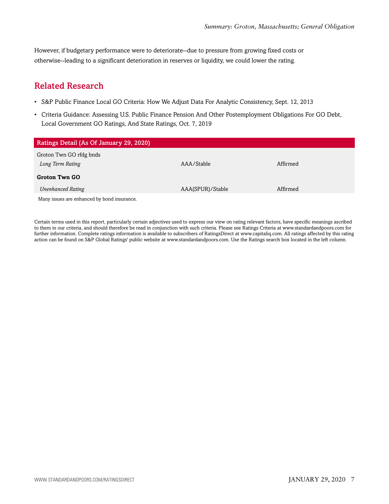However, if budgetary performance were to deteriorate--due to pressure from growing fixed costs or otherwise--leading to a significant deterioration in reserves or liquidity, we could lower the rating.

# <span id="page-6-0"></span>Related Research

- S&P Public Finance Local GO Criteria: How We Adjust Data For Analytic Consistency, Sept. 12, 2013
- Criteria Guidance: Assessing U.S. Public Finance Pension And Other Postemployment Obligations For GO Debt, Local Government GO Ratings, And State Ratings, Oct. 7, 2019

| Ratings Detail (As Of January 29, 2020)     |                  |          |
|---------------------------------------------|------------------|----------|
| Groton Twn GO rfdg bnds                     |                  |          |
| Long Term Rating                            | AAA/Stable       | Affirmed |
| <b>Groton Twn GO</b>                        |                  |          |
| <b>Unenhanced Rating</b>                    | AAA(SPUR)/Stable | Affirmed |
| Many issues are enhanced by bond insurance. |                  |          |

Certain terms used in this report, particularly certain adjectives used to express our view on rating relevant factors, have specific meanings ascribed to them in our criteria, and should therefore be read in conjunction with such criteria. Please see Ratings Criteria at www.standardandpoors.com for further information. Complete ratings information is available to subscribers of RatingsDirect at www.capitaliq.com. All ratings affected by this rating action can be found on S&P Global Ratings' public website at www.standardandpoors.com. Use the Ratings search box located in the left column.